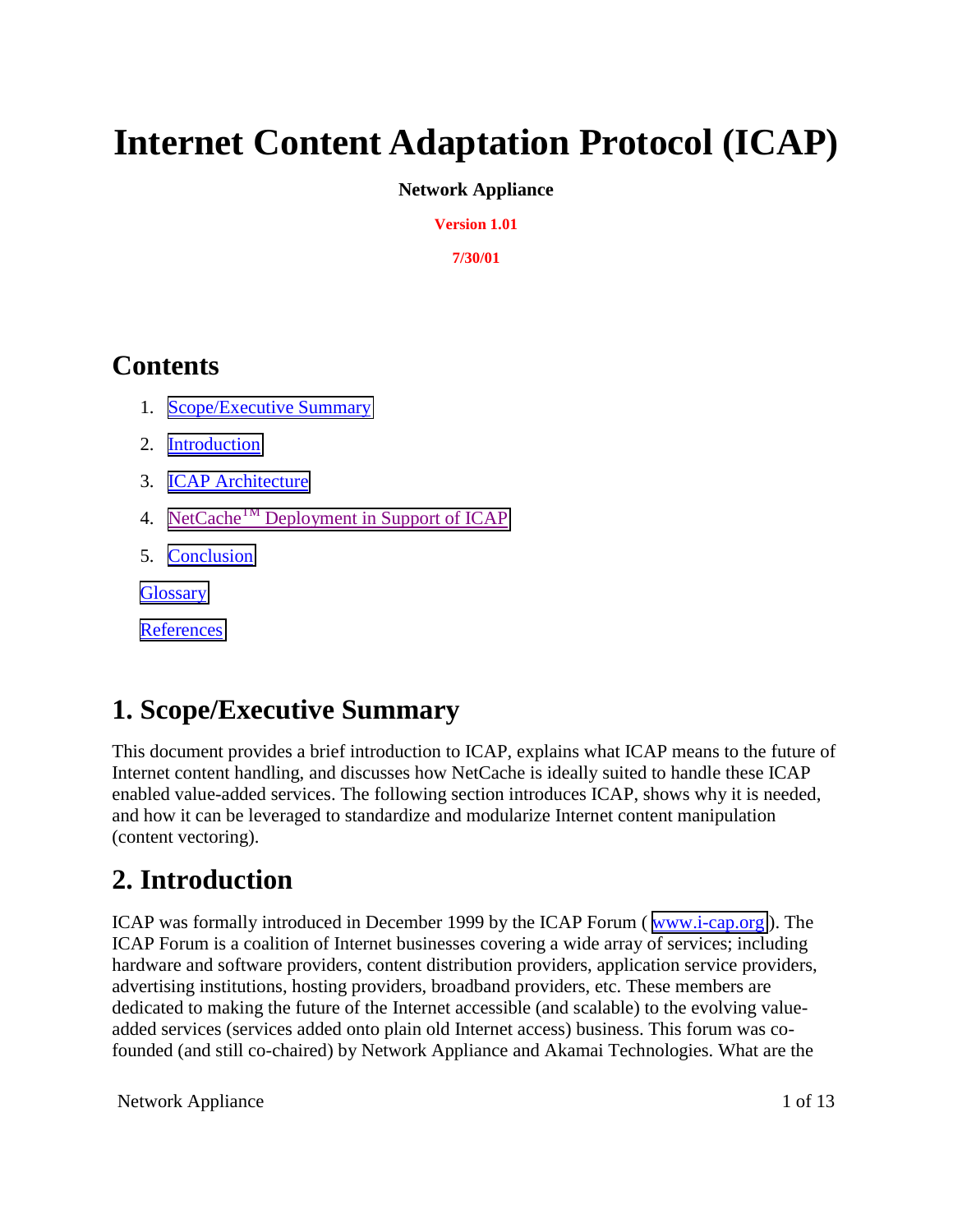# **Internet Content Adaptation Protocol (ICAP)**

#### **Network Appliance**

**Version 1.01**

**7/30/01**

## **Contents**

- 1. Scope/Executive Summary
- 2. Introduction
- 3. [ICAP Architecture](#page-10-0)
- 4. NetCache<sup>TM</sup> Deployment in Support of ICAP
- 5. [Conclusion](#page-10-0)

**[Glossary](#page-12-0)** 

**[References](#page-12-0)** 

## **1. Scope/Executive Summary**

This document provides a brief introduction to ICAP, explains what ICAP means to the future of Internet content handling, and discusses how NetCache is ideally suited to handle these ICAP enabled value-added services. The following section introduces ICAP, shows why it is needed, and how it can be leveraged to standardize and modularize Internet content manipulation (content vectoring).

## **2. Introduction**

ICAP was formally introduced in December 1999 by the ICAP Forum ( [www.i-cap.org](http://www.i-cap.org/) ). The ICAP Forum is a coalition of Internet businesses covering a wide array of services; including hardware and software providers, content distribution providers, application service providers, advertising institutions, hosting providers, broadband providers, etc. These members are dedicated to making the future of the Internet accessible (and scalable) to the evolving valueadded services (services added onto plain old Internet access) business. This forum was cofounded (and still co-chaired) by Network Appliance and Akamai Technologies. What are the

Network Appliance 1 of 13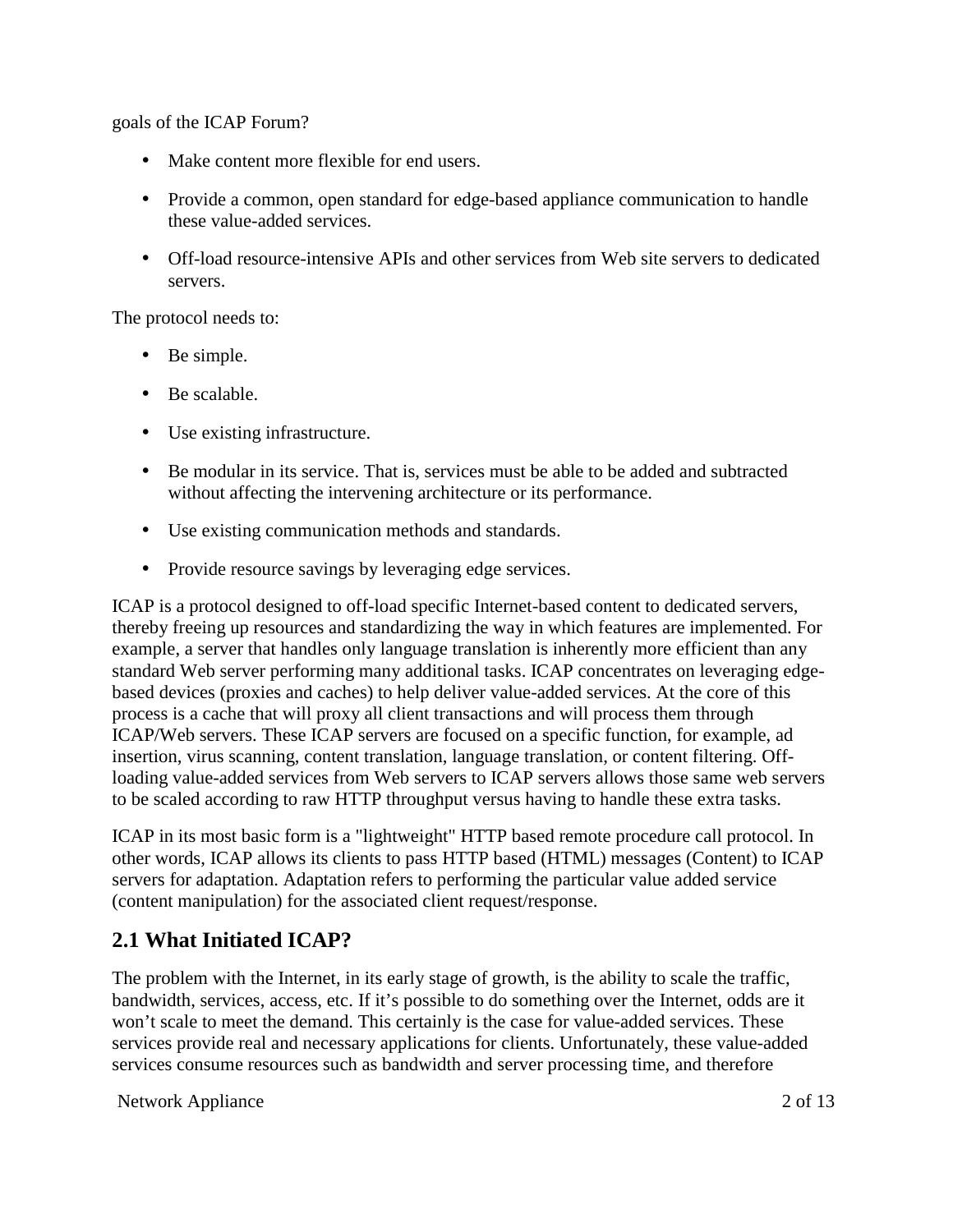goals of the ICAP Forum?

- Make content more flexible for end users.
- Provide a common, open standard for edge-based appliance communication to handle these value-added services.
- Off-load resource-intensive APIs and other services from Web site servers to dedicated servers.

The protocol needs to:

- Be simple.
- Be scalable.
- Use existing infrastructure.
- Be modular in its service. That is, services must be able to be added and subtracted without affecting the intervening architecture or its performance.
- Use existing communication methods and standards.
- Provide resource savings by leveraging edge services.

ICAP is a protocol designed to off-load specific Internet-based content to dedicated servers, thereby freeing up resources and standardizing the way in which features are implemented. For example, a server that handles only language translation is inherently more efficient than any standard Web server performing many additional tasks. ICAP concentrates on leveraging edgebased devices (proxies and caches) to help deliver value-added services. At the core of this process is a cache that will proxy all client transactions and will process them through ICAP/Web servers. These ICAP servers are focused on a specific function, for example, ad insertion, virus scanning, content translation, language translation, or content filtering. Offloading value-added services from Web servers to ICAP servers allows those same web servers to be scaled according to raw HTTP throughput versus having to handle these extra tasks.

ICAP in its most basic form is a "lightweight" HTTP based remote procedure call protocol. In other words, ICAP allows its clients to pass HTTP based (HTML) messages (Content) to ICAP servers for adaptation. Adaptation refers to performing the particular value added service (content manipulation) for the associated client request/response.

#### **2.1 What Initiated ICAP?**

The problem with the Internet, in its early stage of growth, is the ability to scale the traffic, bandwidth, services, access, etc. If it's possible to do something over the Internet, odds are it won't scale to meet the demand. This certainly is the case for value-added services. These services provide real and necessary applications for clients. Unfortunately, these value-added services consume resources such as bandwidth and server processing time, and therefore

Network Appliance 2 of 13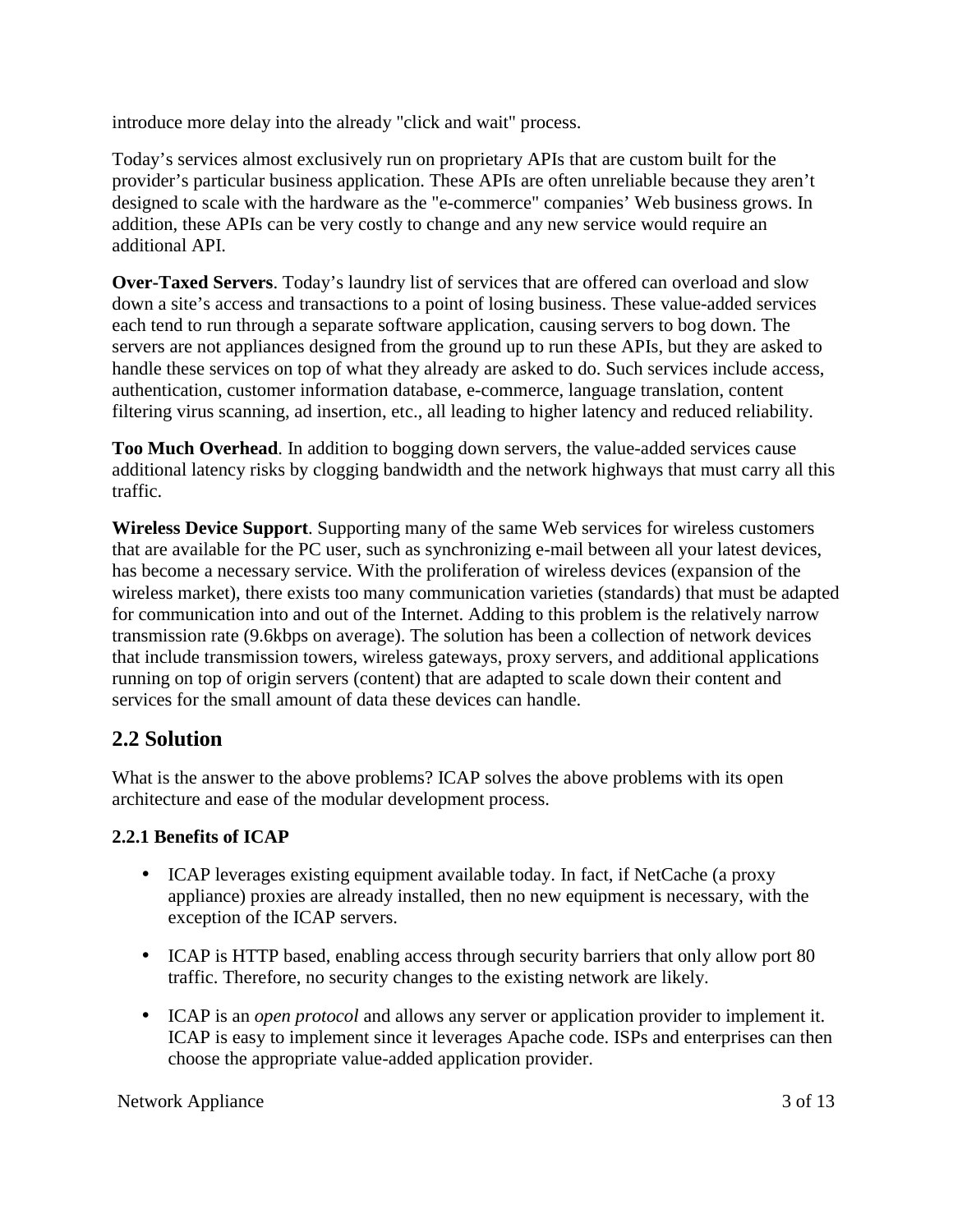introduce more delay into the already "click and wait" process.

Today's services almost exclusively run on proprietary APIs that are custom built for the provider's particular business application. These APIs are often unreliable because they aren't designed to scale with the hardware as the "e-commerce" companies' Web business grows. In addition, these APIs can be very costly to change and any new service would require an additional API.

**Over-Taxed Servers**. Today's laundry list of services that are offered can overload and slow down a site's access and transactions to a point of losing business. These value-added services each tend to run through a separate software application, causing servers to bog down. The servers are not appliances designed from the ground up to run these APIs, but they are asked to handle these services on top of what they already are asked to do. Such services include access, authentication, customer information database, e-commerce, language translation, content filtering virus scanning, ad insertion, etc., all leading to higher latency and reduced reliability.

**Too Much Overhead**. In addition to bogging down servers, the value-added services cause additional latency risks by clogging bandwidth and the network highways that must carry all this traffic.

**Wireless Device Support**. Supporting many of the same Web services for wireless customers that are available for the PC user, such as synchronizing e-mail between all your latest devices, has become a necessary service. With the proliferation of wireless devices (expansion of the wireless market), there exists too many communication varieties (standards) that must be adapted for communication into and out of the Internet. Adding to this problem is the relatively narrow transmission rate (9.6kbps on average). The solution has been a collection of network devices that include transmission towers, wireless gateways, proxy servers, and additional applications running on top of origin servers (content) that are adapted to scale down their content and services for the small amount of data these devices can handle.

#### **2.2 Solution**

What is the answer to the above problems? ICAP solves the above problems with its open architecture and ease of the modular development process.

#### **2.2.1 Benefits of ICAP**

- ICAP leverages existing equipment available today. In fact, if NetCache (a proxy appliance) proxies are already installed, then no new equipment is necessary, with the exception of the ICAP servers.
- ICAP is HTTP based, enabling access through security barriers that only allow port 80 traffic. Therefore, no security changes to the existing network are likely.
- ICAP is an *open protocol* and allows any server or application provider to implement it. ICAP is easy to implement since it leverages Apache code. ISPs and enterprises can then choose the appropriate value-added application provider.

Network Appliance 3 of 13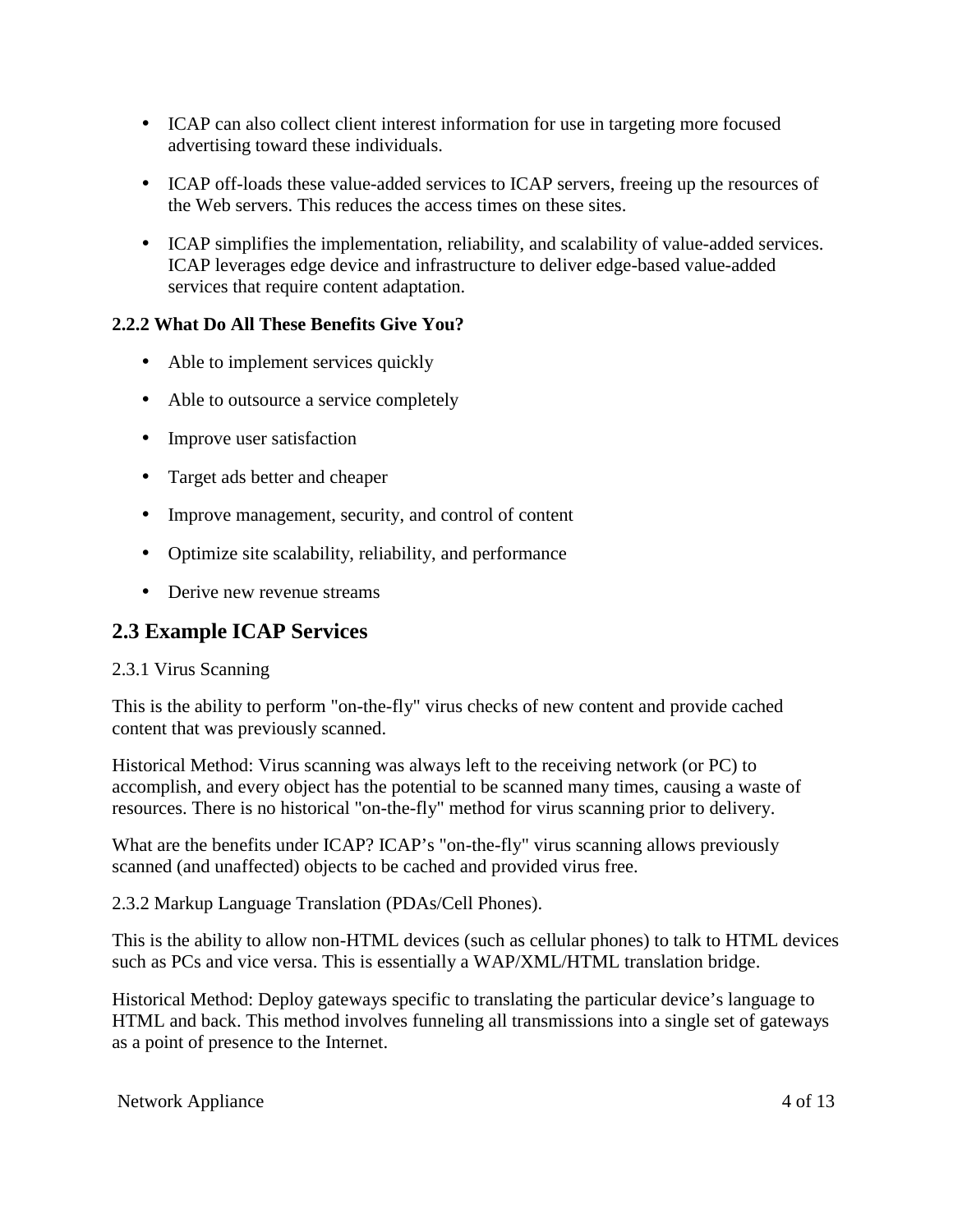- ICAP can also collect client interest information for use in targeting more focused advertising toward these individuals.
- ICAP off-loads these value-added services to ICAP servers, freeing up the resources of the Web servers. This reduces the access times on these sites.
- ICAP simplifies the implementation, reliability, and scalability of value-added services. ICAP leverages edge device and infrastructure to deliver edge-based value-added services that require content adaptation.

#### **2.2.2 What Do All These Benefits Give You?**

- Able to implement services quickly
- Able to outsource a service completely
- Improve user satisfaction
- Target ads better and cheaper
- Improve management, security, and control of content
- Optimize site scalability, reliability, and performance
- Derive new revenue streams

### **2.3 Example ICAP Services**

#### 2.3.1 Virus Scanning

This is the ability to perform "on-the-fly" virus checks of new content and provide cached content that was previously scanned.

Historical Method: Virus scanning was always left to the receiving network (or PC) to accomplish, and every object has the potential to be scanned many times, causing a waste of resources. There is no historical "on-the-fly" method for virus scanning prior to delivery.

What are the benefits under ICAP? ICAP's "on-the-fly" virus scanning allows previously scanned (and unaffected) objects to be cached and provided virus free.

2.3.2 Markup Language Translation (PDAs/Cell Phones).

This is the ability to allow non-HTML devices (such as cellular phones) to talk to HTML devices such as PCs and vice versa. This is essentially a WAP/XML/HTML translation bridge.

Historical Method: Deploy gateways specific to translating the particular device's language to HTML and back. This method involves funneling all transmissions into a single set of gateways as a point of presence to the Internet.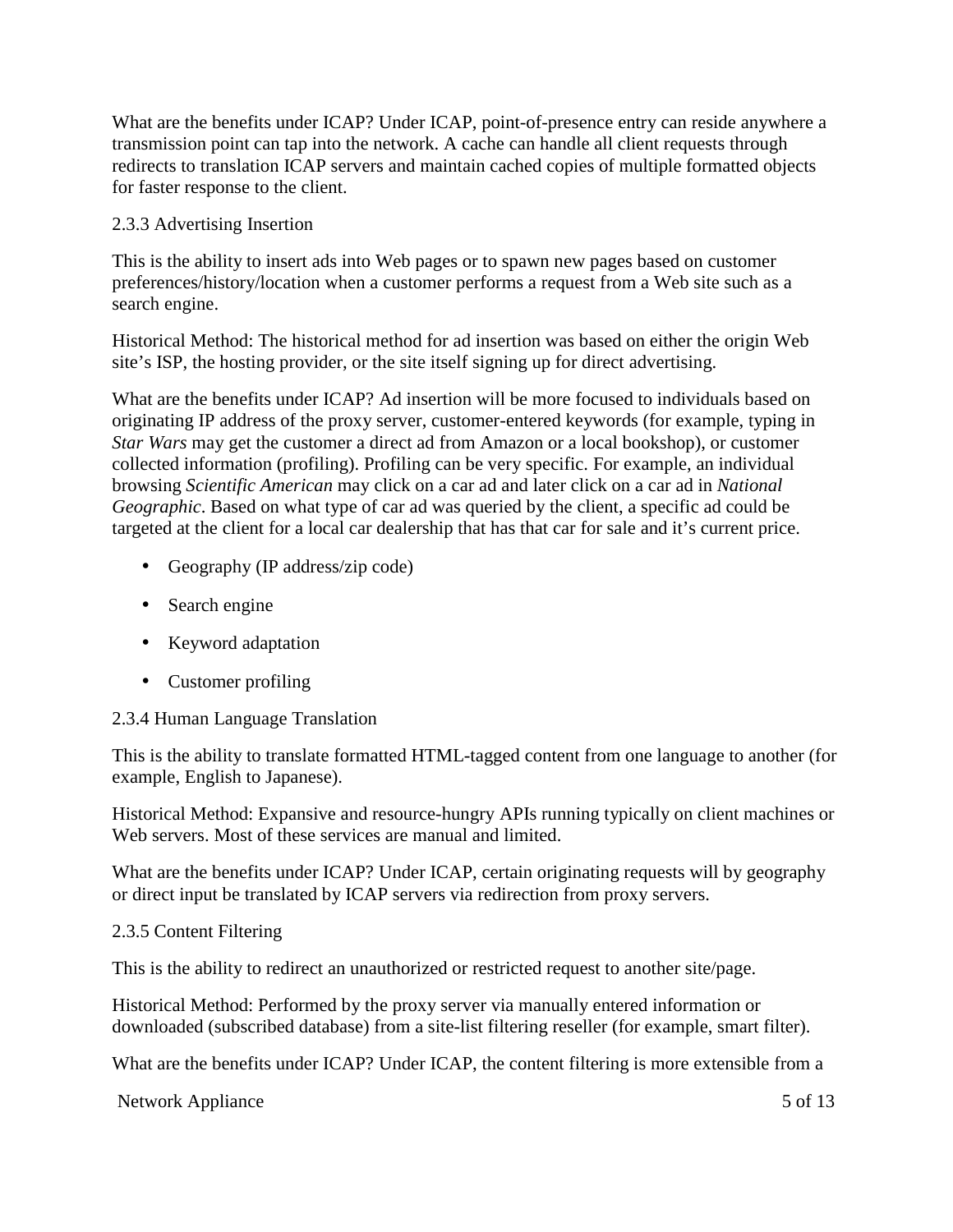What are the benefits under ICAP? Under ICAP, point-of-presence entry can reside anywhere a transmission point can tap into the network. A cache can handle all client requests through redirects to translation ICAP servers and maintain cached copies of multiple formatted objects for faster response to the client.

#### 2.3.3 Advertising Insertion

This is the ability to insert ads into Web pages or to spawn new pages based on customer preferences/history/location when a customer performs a request from a Web site such as a search engine.

Historical Method: The historical method for ad insertion was based on either the origin Web site's ISP, the hosting provider, or the site itself signing up for direct advertising.

What are the benefits under ICAP? Ad insertion will be more focused to individuals based on originating IP address of the proxy server, customer-entered keywords (for example, typing in *Star Wars* may get the customer a direct ad from Amazon or a local bookshop), or customer collected information (profiling). Profiling can be very specific. For example, an individual browsing *Scientific American* may click on a car ad and later click on a car ad in *National Geographic*. Based on what type of car ad was queried by the client, a specific ad could be targeted at the client for a local car dealership that has that car for sale and it's current price.

- Geography (IP address/zip code)
- Search engine
- Keyword adaptation
- Customer profiling

#### 2.3.4 Human Language Translation

This is the ability to translate formatted HTML-tagged content from one language to another (for example, English to Japanese).

Historical Method: Expansive and resource-hungry APIs running typically on client machines or Web servers. Most of these services are manual and limited.

What are the benefits under ICAP? Under ICAP, certain originating requests will by geography or direct input be translated by ICAP servers via redirection from proxy servers.

#### 2.3.5 Content Filtering

This is the ability to redirect an unauthorized or restricted request to another site/page.

Historical Method: Performed by the proxy server via manually entered information or downloaded (subscribed database) from a site-list filtering reseller (for example, smart filter).

What are the benefits under ICAP? Under ICAP, the content filtering is more extensible from a

Network Appliance 5 of 13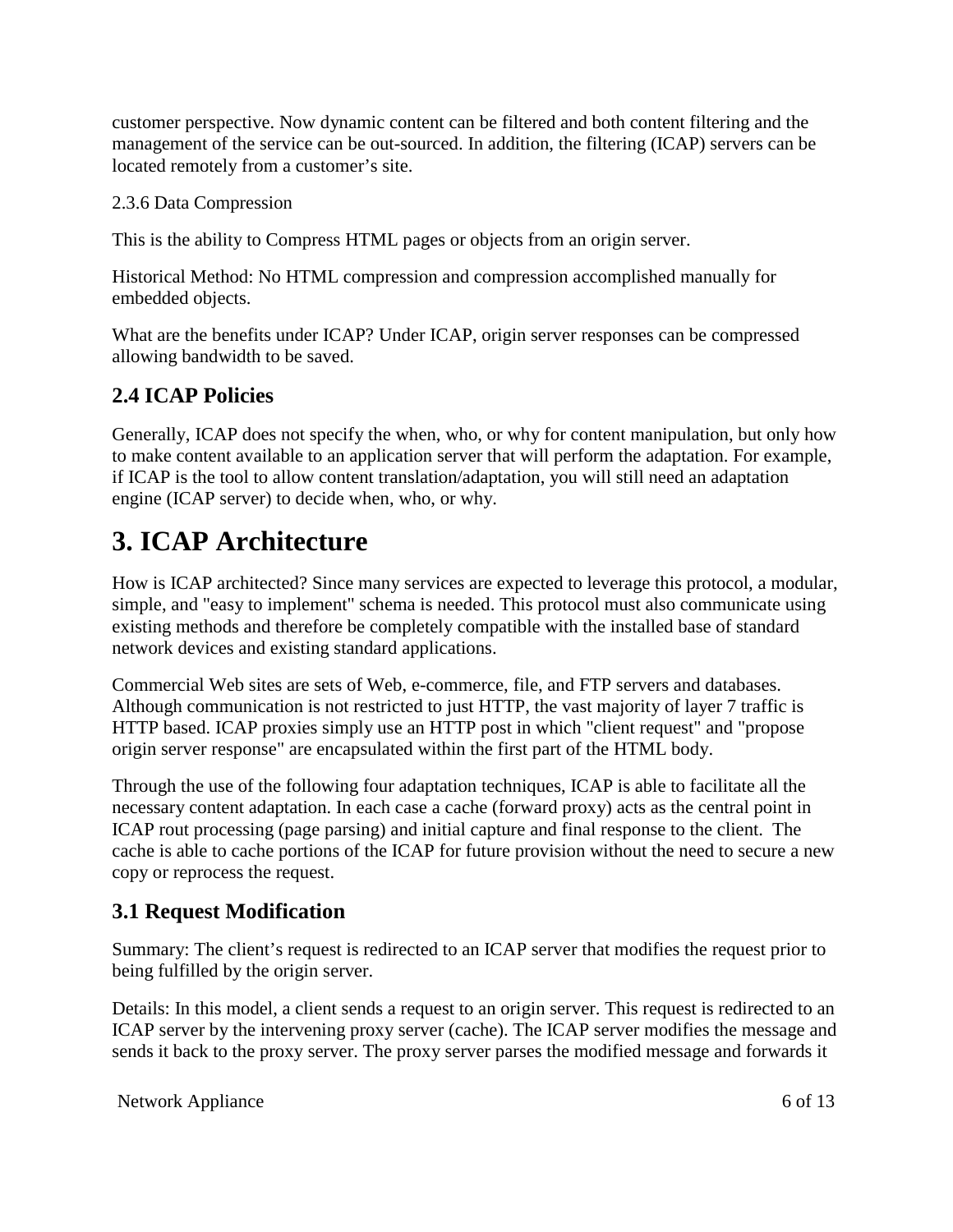customer perspective. Now dynamic content can be filtered and both content filtering and the management of the service can be out-sourced. In addition, the filtering (ICAP) servers can be located remotely from a customer's site.

#### 2.3.6 Data Compression

This is the ability to Compress HTML pages or objects from an origin server.

Historical Method: No HTML compression and compression accomplished manually for embedded objects.

What are the benefits under ICAP? Under ICAP, origin server responses can be compressed allowing bandwidth to be saved.

### **2.4 ICAP Policies**

Generally, ICAP does not specify the when, who, or why for content manipulation, but only how to make content available to an application server that will perform the adaptation. For example, if ICAP is the tool to allow content translation/adaptation, you will still need an adaptation engine (ICAP server) to decide when, who, or why.

## **3. ICAP Architecture**

How is ICAP architected? Since many services are expected to leverage this protocol, a modular, simple, and "easy to implement" schema is needed. This protocol must also communicate using existing methods and therefore be completely compatible with the installed base of standard network devices and existing standard applications.

Commercial Web sites are sets of Web, e-commerce, file, and FTP servers and databases. Although communication is not restricted to just HTTP, the vast majority of layer 7 traffic is HTTP based. ICAP proxies simply use an HTTP post in which "client request" and "propose origin server response" are encapsulated within the first part of the HTML body.

Through the use of the following four adaptation techniques, ICAP is able to facilitate all the necessary content adaptation. In each case a cache (forward proxy) acts as the central point in ICAP rout processing (page parsing) and initial capture and final response to the client. The cache is able to cache portions of the ICAP for future provision without the need to secure a new copy or reprocess the request.

## **3.1 Request Modification**

Summary: The client's request is redirected to an ICAP server that modifies the request prior to being fulfilled by the origin server.

Details: In this model, a client sends a request to an origin server. This request is redirected to an ICAP server by the intervening proxy server (cache). The ICAP server modifies the message and sends it back to the proxy server. The proxy server parses the modified message and forwards it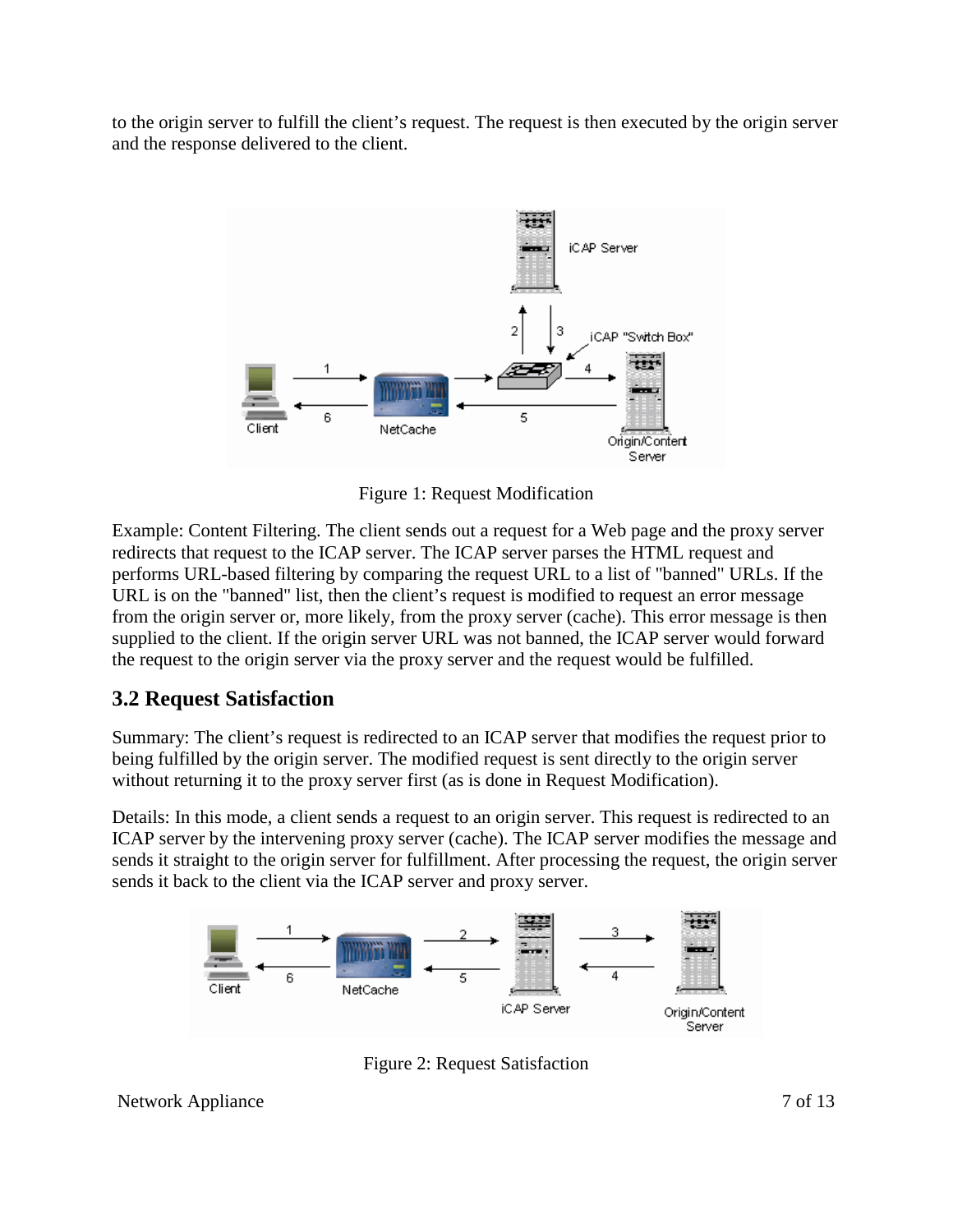to the origin server to fulfill the client's request. The request is then executed by the origin server and the response delivered to the client.



Figure 1: Request Modification

Example: Content Filtering. The client sends out a request for a Web page and the proxy server redirects that request to the ICAP server. The ICAP server parses the HTML request and performs URL-based filtering by comparing the request URL to a list of "banned" URLs. If the URL is on the "banned" list, then the client's request is modified to request an error message from the origin server or, more likely, from the proxy server (cache). This error message is then supplied to the client. If the origin server URL was not banned, the ICAP server would forward the request to the origin server via the proxy server and the request would be fulfilled.

### **3.2 Request Satisfaction**

Summary: The client's request is redirected to an ICAP server that modifies the request prior to being fulfilled by the origin server. The modified request is sent directly to the origin server without returning it to the proxy server first (as is done in Request Modification).

Details: In this mode, a client sends a request to an origin server. This request is redirected to an ICAP server by the intervening proxy server (cache). The ICAP server modifies the message and sends it straight to the origin server for fulfillment. After processing the request, the origin server sends it back to the client via the ICAP server and proxy server.



Figure 2: Request Satisfaction

Network Appliance 7 of 13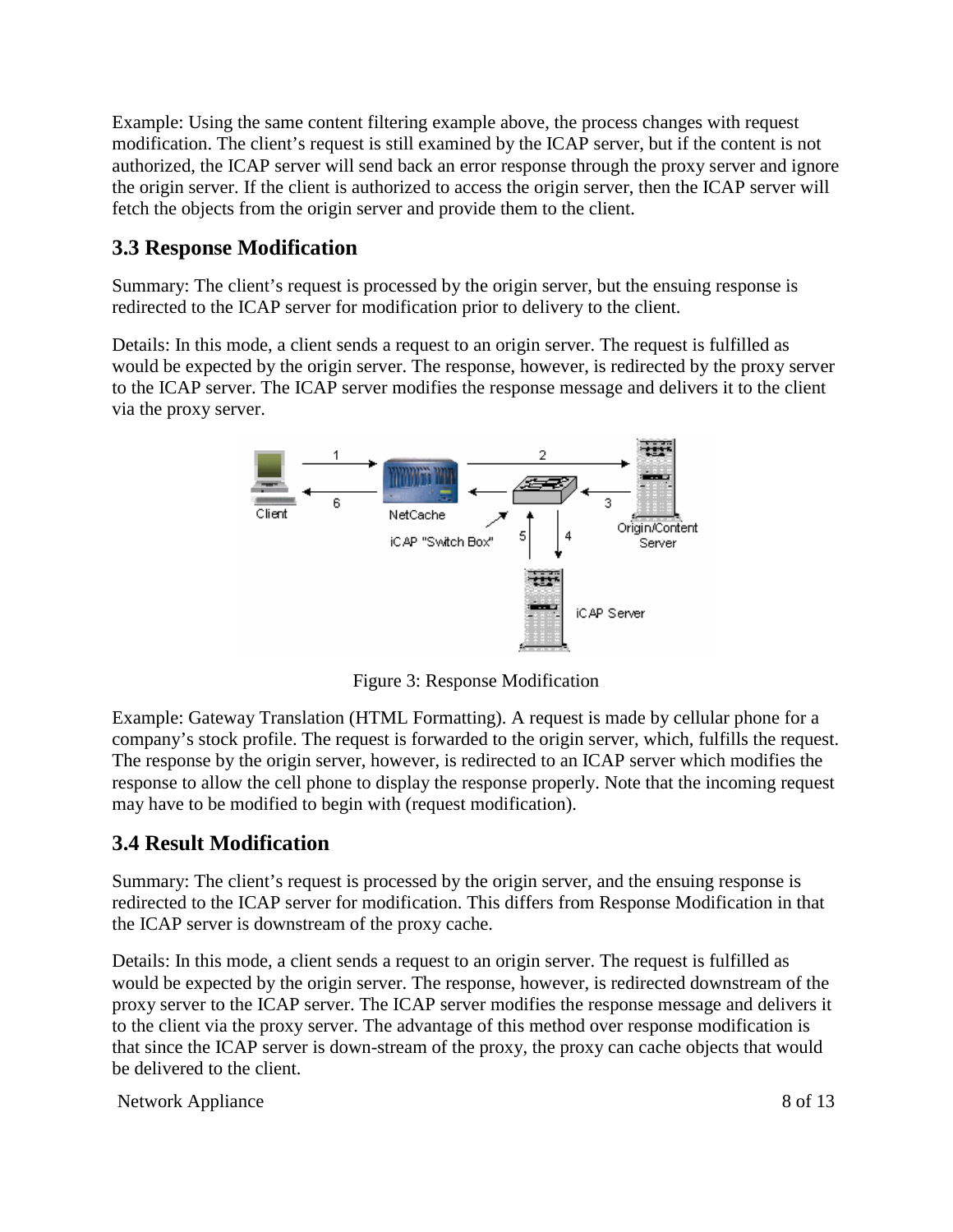Example: Using the same content filtering example above, the process changes with request modification. The client's request is still examined by the ICAP server, but if the content is not authorized, the ICAP server will send back an error response through the proxy server and ignore the origin server. If the client is authorized to access the origin server, then the ICAP server will fetch the objects from the origin server and provide them to the client.

### **3.3 Response Modification**

Summary: The client's request is processed by the origin server, but the ensuing response is redirected to the ICAP server for modification prior to delivery to the client.

Details: In this mode, a client sends a request to an origin server. The request is fulfilled as would be expected by the origin server. The response, however, is redirected by the proxy server to the ICAP server. The ICAP server modifies the response message and delivers it to the client via the proxy server.



Figure 3: Response Modification

Example: Gateway Translation (HTML Formatting). A request is made by cellular phone for a company's stock profile. The request is forwarded to the origin server, which, fulfills the request. The response by the origin server, however, is redirected to an ICAP server which modifies the response to allow the cell phone to display the response properly. Note that the incoming request may have to be modified to begin with (request modification).

### **3.4 Result Modification**

Summary: The client's request is processed by the origin server, and the ensuing response is redirected to the ICAP server for modification. This differs from Response Modification in that the ICAP server is downstream of the proxy cache.

Details: In this mode, a client sends a request to an origin server. The request is fulfilled as would be expected by the origin server. The response, however, is redirected downstream of the proxy server to the ICAP server. The ICAP server modifies the response message and delivers it to the client via the proxy server. The advantage of this method over response modification is that since the ICAP server is down-stream of the proxy, the proxy can cache objects that would be delivered to the client.

Network Appliance 8 of 13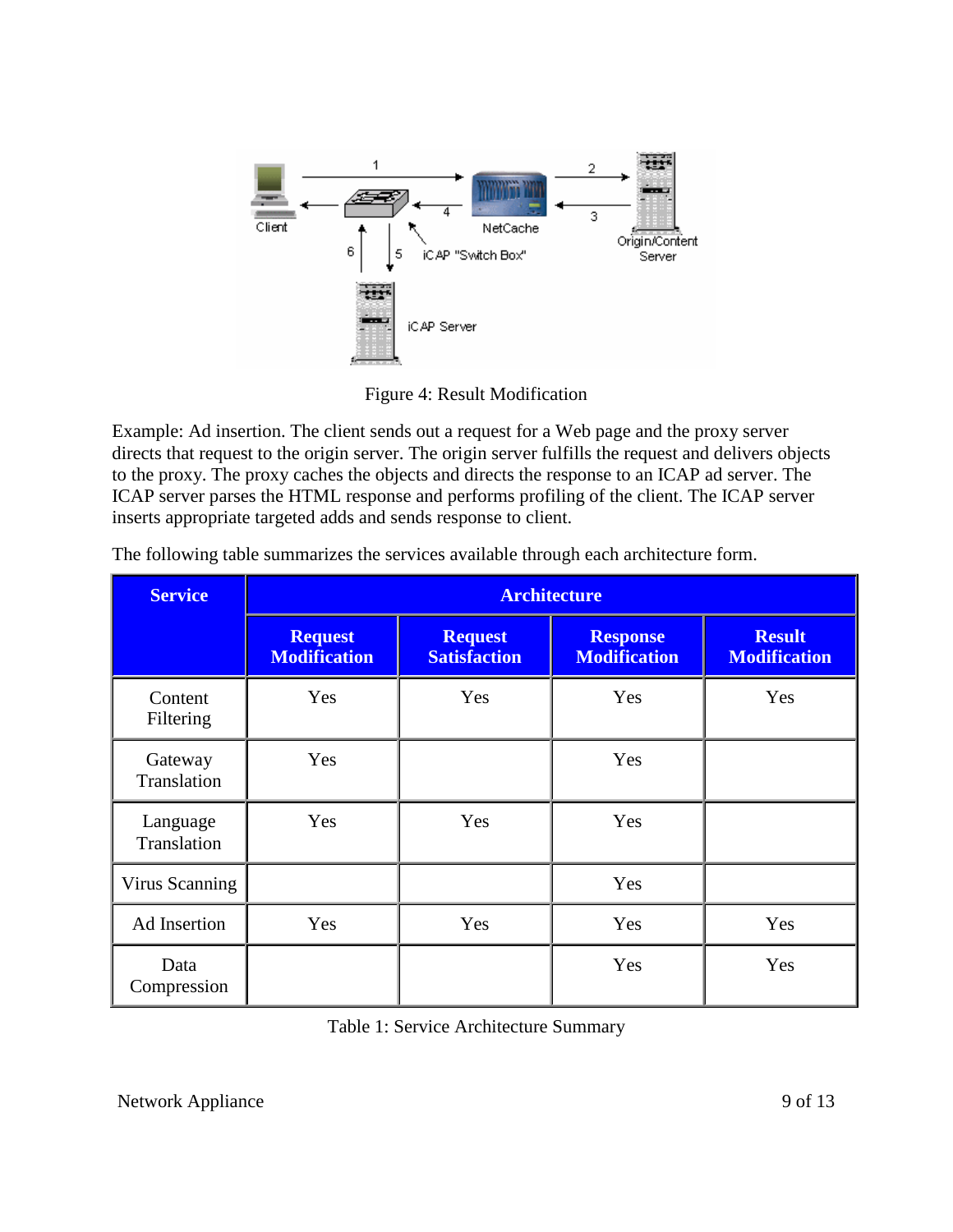

Figure 4: Result Modification

Example: Ad insertion. The client sends out a request for a Web page and the proxy server directs that request to the origin server. The origin server fulfills the request and delivers objects to the proxy. The proxy caches the objects and directs the response to an ICAP ad server. The ICAP server parses the HTML response and performs profiling of the client. The ICAP server inserts appropriate targeted adds and sends response to client.

| <b>Service</b>          | <b>Architecture</b>                   |                                       |                                        |                                      |
|-------------------------|---------------------------------------|---------------------------------------|----------------------------------------|--------------------------------------|
|                         | <b>Request</b><br><b>Modification</b> | <b>Request</b><br><b>Satisfaction</b> | <b>Response</b><br><b>Modification</b> | <b>Result</b><br><b>Modification</b> |
| Content<br>Filtering    | Yes                                   | Yes                                   | Yes                                    | Yes                                  |
| Gateway<br>Translation  | Yes                                   |                                       | Yes                                    |                                      |
| Language<br>Translation | Yes                                   | Yes                                   | Yes                                    |                                      |
| Virus Scanning          |                                       |                                       | Yes                                    |                                      |
| Ad Insertion            | Yes                                   | Yes                                   | Yes                                    | Yes                                  |
| Data<br>Compression     |                                       |                                       | Yes                                    | Yes                                  |

The following table summarizes the services available through each architecture form.

Table 1: Service Architecture Summary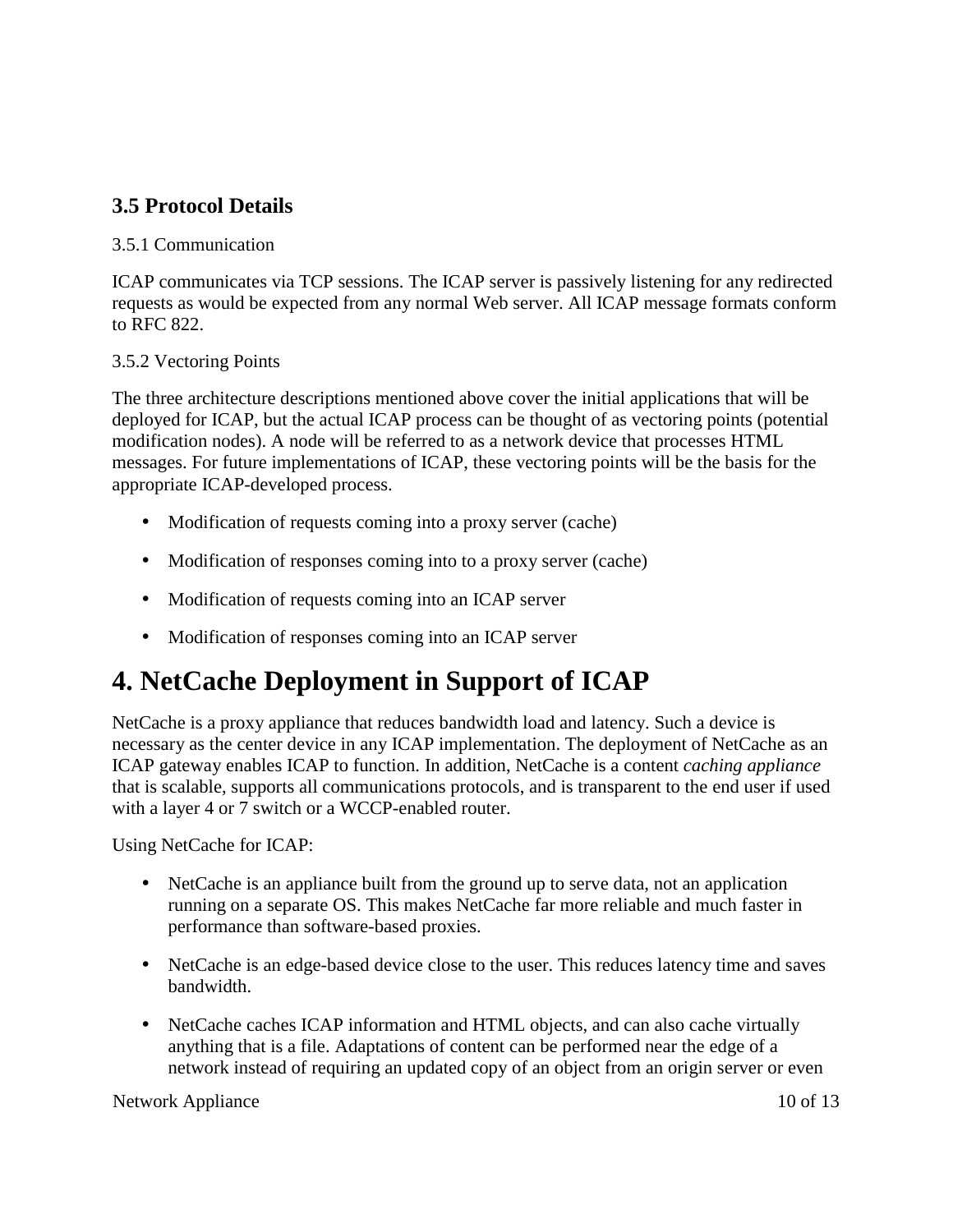### **3.5 Protocol Details**

#### 3.5.1 Communication

ICAP communicates via TCP sessions. The ICAP server is passively listening for any redirected requests as would be expected from any normal Web server. All ICAP message formats conform to RFC 822.

#### 3.5.2 Vectoring Points

The three architecture descriptions mentioned above cover the initial applications that will be deployed for ICAP, but the actual ICAP process can be thought of as vectoring points (potential modification nodes). A node will be referred to as a network device that processes HTML messages. For future implementations of ICAP, these vectoring points will be the basis for the appropriate ICAP-developed process.

- Modification of requests coming into a proxy server (cache)
- Modification of responses coming into to a proxy server (cache)
- Modification of requests coming into an ICAP server
- Modification of responses coming into an ICAP server

## **4. NetCache Deployment in Support of ICAP**

NetCache is a proxy appliance that reduces bandwidth load and latency. Such a device is necessary as the center device in any ICAP implementation. The deployment of NetCache as an ICAP gateway enables ICAP to function. In addition, NetCache is a content *caching appliance* that is scalable, supports all communications protocols, and is transparent to the end user if used with a layer 4 or 7 switch or a WCCP-enabled router.

Using NetCache for ICAP:

- NetCache is an appliance built from the ground up to serve data, not an application running on a separate OS. This makes NetCache far more reliable and much faster in performance than software-based proxies.
- NetCache is an edge-based device close to the user. This reduces latency time and saves bandwidth.
- NetCache caches ICAP information and HTML objects, and can also cache virtually anything that is a file. Adaptations of content can be performed near the edge of a network instead of requiring an updated copy of an object from an origin server or even

Network Appliance 10 of 13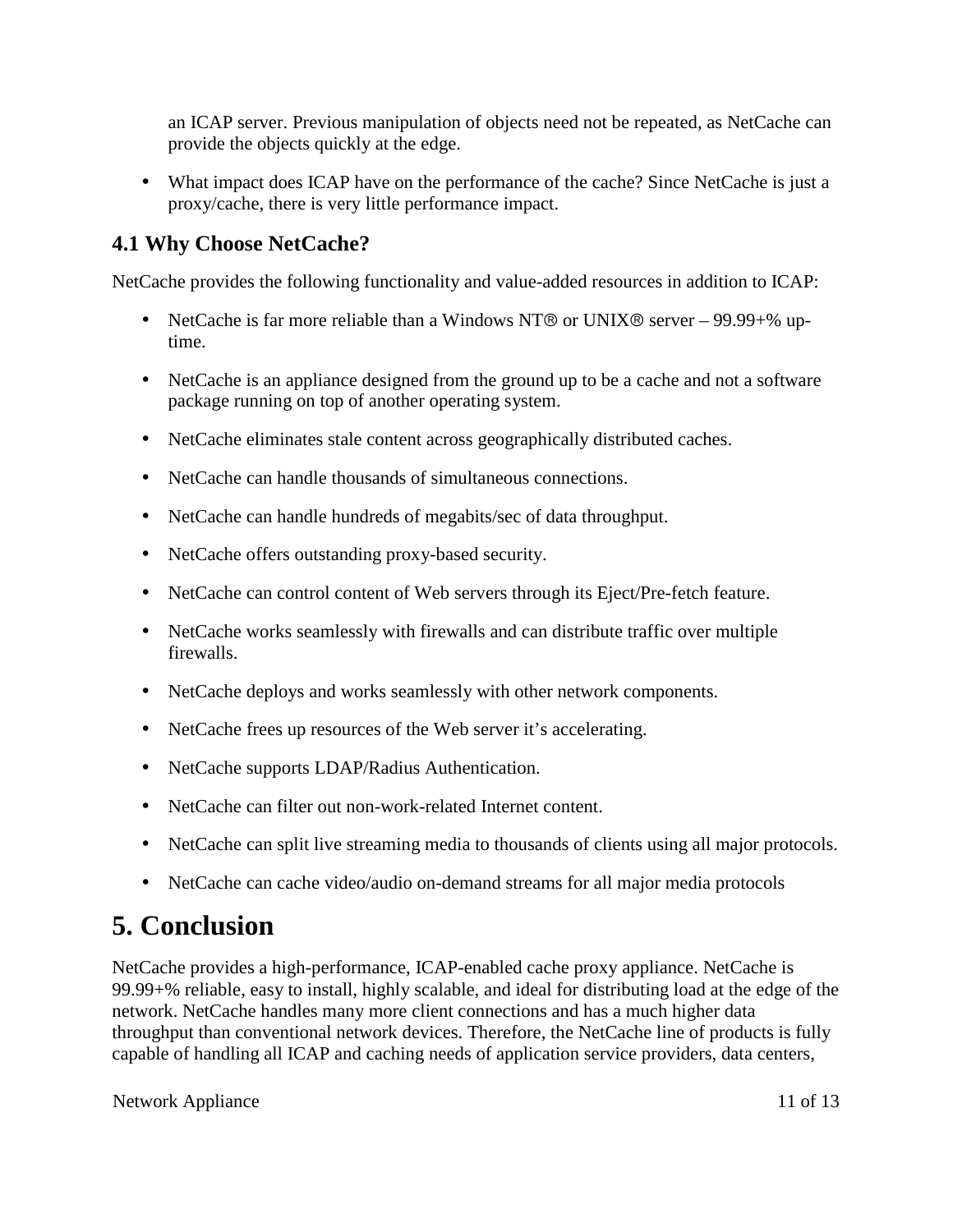<span id="page-10-0"></span>an ICAP server. Previous manipulation of objects need not be repeated, as NetCache can provide the objects quickly at the edge.

• What impact does ICAP have on the performance of the cache? Since NetCache is just a proxy/cache, there is very little performance impact.

### **4.1 Why Choose NetCache?**

NetCache provides the following functionality and value-added resources in addition to ICAP:

- NetCache is far more reliable than a Windows NT® or UNIX® server 99.99+% uptime.
- NetCache is an appliance designed from the ground up to be a cache and not a software package running on top of another operating system.
- NetCache eliminates stale content across geographically distributed caches.
- NetCache can handle thousands of simultaneous connections.
- NetCache can handle hundreds of megabits/sec of data throughput.
- NetCache offers outstanding proxy-based security.
- NetCache can control content of Web servers through its Eject/Pre-fetch feature.
- NetCache works seamlessly with firewalls and can distribute traffic over multiple firewalls.
- NetCache deploys and works seamlessly with other network components.
- NetCache frees up resources of the Web server it's accelerating.
- NetCache supports LDAP/Radius Authentication.
- NetCache can filter out non-work-related Internet content.
- NetCache can split live streaming media to thousands of clients using all major protocols.
- NetCache can cache video/audio on-demand streams for all major media protocols

## **5. Conclusion**

NetCache provides a high-performance, ICAP-enabled cache proxy appliance. NetCache is 99.99+% reliable, easy to install, highly scalable, and ideal for distributing load at the edge of the network. NetCache handles many more client connections and has a much higher data throughput than conventional network devices. Therefore, the NetCache line of products is fully capable of handling all ICAP and caching needs of application service providers, data centers,

Network Appliance 11 of 13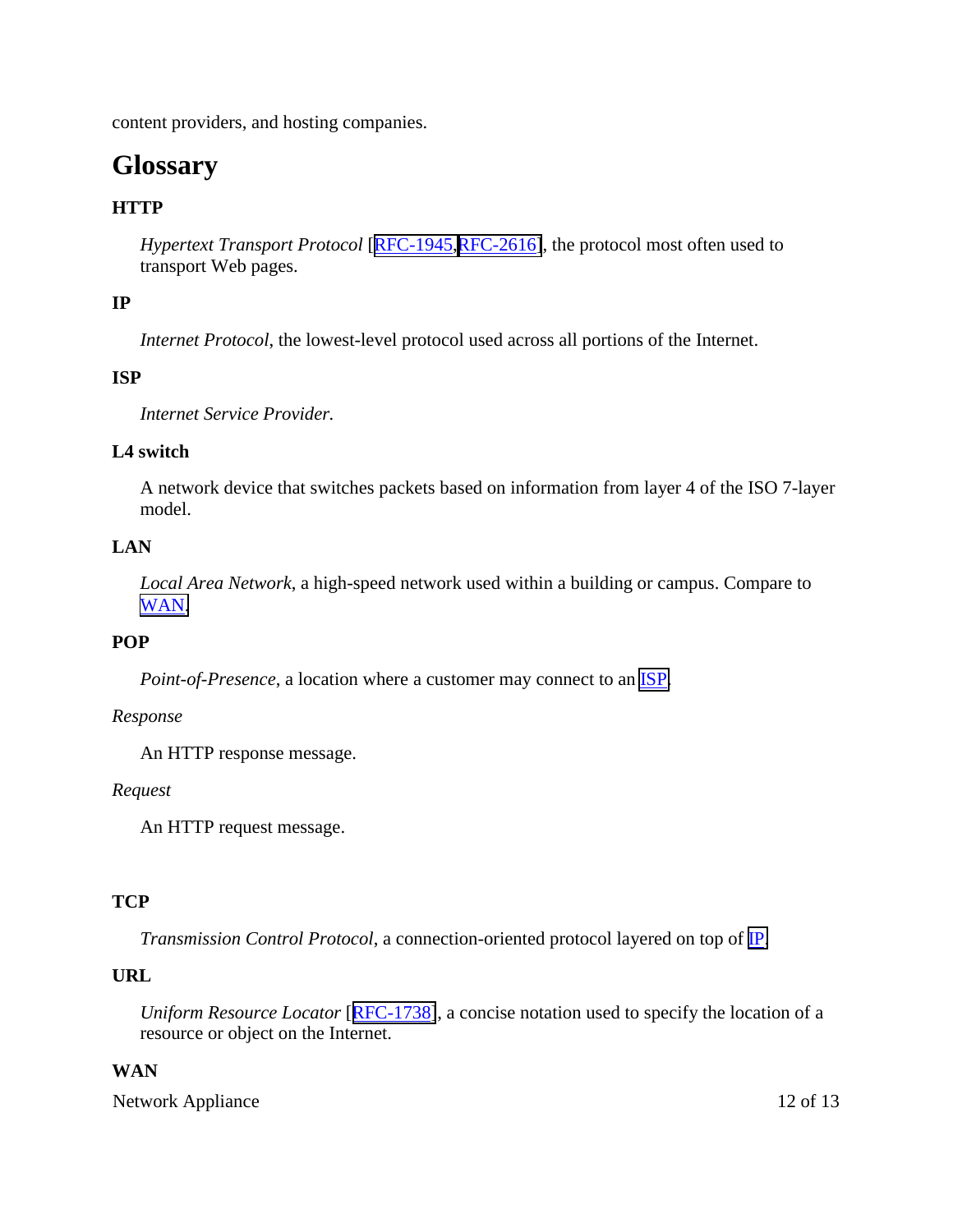content providers, and hosting companies.

## **Glossary**

### **HTTP**

*Hypertext Transport Protocol* [[RFC-1945,RFC-2616\]](http://www.i-cap.org/), the protocol most often used to transport Web pages.

#### **IP**

*Internet Protocol*, the lowest-level protocol used across all portions of the Internet.

#### **ISP**

*Internet Service Provider.*

#### **L4 switch**

A network device that switches packets based on information from layer 4 of the ISO 7-layer model.

#### **LAN**

*Local Area Network*, a high-speed network used within a building or campus. Compare to [WAN.](http://www.i-cap.org/)

#### **POP**

*Point-of-Presence*, a location where a customer may connect to an [ISP.](http://www.i-cap.org/)

#### *Response*

An HTTP response message.

#### *Request*

An HTTP request message.

#### **TCP**

*Transmission Control Protocol*, a connection-oriented protocol layered on top of [IP.](http://www.i-cap.org/)

#### **URL**

*Uniform Resource Locator* [[RFC-1738\]](http://www.i-cap.org/), a concise notation used to specify the location of a resource or object on the Internet.

#### **WAN**

Network Appliance 12 of 13